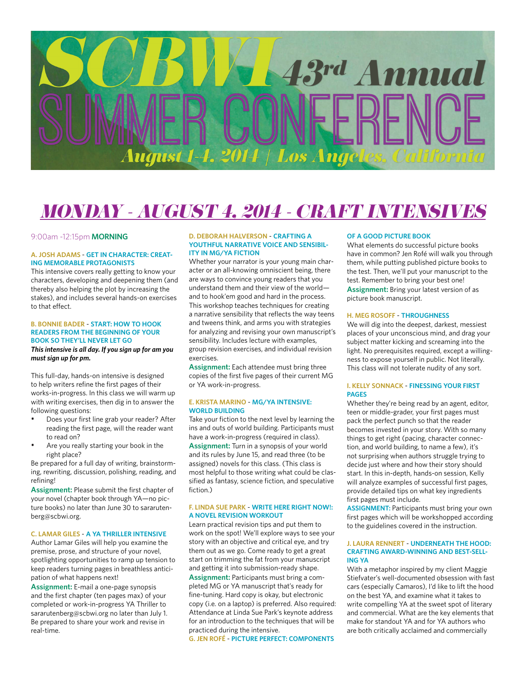# 43rd Ammual Los A

## *MONDAY - AUGUST 4, 2014 - CRAFT INTENSIVES*

#### 9:00am -12:15pm **MORNING**

#### **A. JOSH ADAMS** - **GET IN CHARACTER: CREAT-ING MEMORABLE PROTAGONISTS**

This intensive covers really getting to know your characters, developing and deepening them (and thereby also helping the plot by increasing the stakes), and includes several hands-on exercises to that effect.

#### **B. BONNIE BADER** - **START: HOW TO HOOK READERS FROM THE BEGINNING OF YOUR BOOK SO THEY'LL NEVER LET GO**

*This intensive is all day. If you sign up for am you must sign up for pm.*

This full-day, hands-on intensive is designed to help writers refine the first pages of their works-in-progress. In this class we will warm up with writing exercises, then dig in to answer the following questions:

- Does your first line grab your reader? After reading the first page, will the reader want to read on?
- Are you really starting your book in the right place?

Be prepared for a full day of writing, brainstorming, rewriting, discussion, polishing, reading, and refining!

**Assignment:** Please submit the first chapter of your novel (chapter book through YA—no picture books) no later than June 30 to sararutenberg@scbwi.org.

#### **C. LAMAR GILES** - **A YA THRILLER INTENSIVE**

Author Lamar Giles will help you examine the premise, prose, and structure of your novel, spotlighting opportunities to ramp up tension to keep readers turning pages in breathless anticipation of what happens next!

**Assignment:** E-mail a one-page synopsis and the first chapter (ten pages max) of your completed or work-in-progress YA Thriller to sararutenberg@scbwi.org no later than July 1. Be prepared to share your work and revise in real-time.

#### **D. DEBORAH HALVERSON** - **CRAFTING A YOUTHFUL NARRATIVE VOICE AND SENSIBIL-ITY IN MG/YA FICTION**

Whether your narrator is your young main character or an all-knowing omniscient being, there are ways to convince young readers that you understand them and their view of the world and to hook'em good and hard in the process. This workshop teaches techniques for creating a narrative sensibility that reflects the way teens and tweens think, and arms you with strategies for analyzing and revising your own manuscript's sensibility. Includes lecture with examples, group revision exercises, and individual revision exercises.

**Assignment:** Each attendee must bring three copies of the first five pages of their current MG or YA work-in-progress.

#### **E. KRISTA MARINO** - **MG/YA INTENSIVE: WORLD BUILDING**

Take your fiction to the next level by learning the ins and outs of world building. Participants must have a work-in-progress (required in class).

**Assignment:** Turn in a synopsis of your world and its rules by June 15, and read three (to be assigned) novels for this class. (This class is most helpful to those writing what could be classified as fantasy, science fiction, and speculative fiction.)

#### **F. LINDA SUE PARK** - **WRITE HERE RIGHT NOW!: A NOVEL REVISION WORKOUT**

Learn practical revision tips and put them to work on the spot! We'll explore ways to see your story with an objective and critical eye, and try them out as we go. Come ready to get a great start on trimming the fat from your manuscript and getting it into submission-ready shape. **Assignment:** Participants must bring a completed MG or YA manuscript that's ready for fine-tuning. Hard copy is okay, but electronic copy (i.e. on a laptop) is preferred. Also required: Attendance at Linda Sue Park's keynote address

for an introduction to the techniques that will be

**G. JEN ROFÉ** - **PICTURE PERFECT: COMPONENTS** 

practiced during the intensive.

#### **OF A GOOD PICTURE BOOK**

What elements do successful picture books have in common? Jen Rofé will walk you through them, while putting published picture books to the test. Then, we'll put your manuscript to the test. Remember to bring your best one! **Assignment:** Bring your latest version of as picture book manuscript.

#### **H. MEG ROSOFF** - **THROUGHNESS**

We will dig into the deepest, darkest, messiest places of your unconscious mind, and drag your subject matter kicking and screaming into the light. No prerequisites required, except a willingness to expose yourself in public. Not literally. This class will not tolerate nudity of any sort.

#### **I. KELLY SONNACK** - **FINESSING YOUR FIRST PAGES**

Whether they're being read by an agent, editor, teen or middle-grader, your first pages must pack the perfect punch so that the reader becomes invested in your story. With so many things to get right (pacing, character connection, and world building, to name a few), it's not surprising when authors struggle trying to decide just where and how their story should start. In this in-depth, hands-on session, Kelly will analyze examples of successful first pages, provide detailed tips on what key ingredients first pages must include.

**ASSIGNMENT:** Participants must bring your own first pages which will be workshopped according to the guidelines covered in the instruction.

#### **J. LAURA RENNERT** - **UNDERNEATH THE HOOD: CRAFTING AWARD-WINNING AND BEST-SELL-ING YA**

With a metaphor inspired by my client Maggie Stiefvater's well-documented obsession with fast cars (especially Camaros), I'd like to lift the hood on the best YA, and examine what it takes to write compelling YA at the sweet spot of literary and commercial. What are the key elements that make for standout YA and for YA authors who are both critically acclaimed and commercially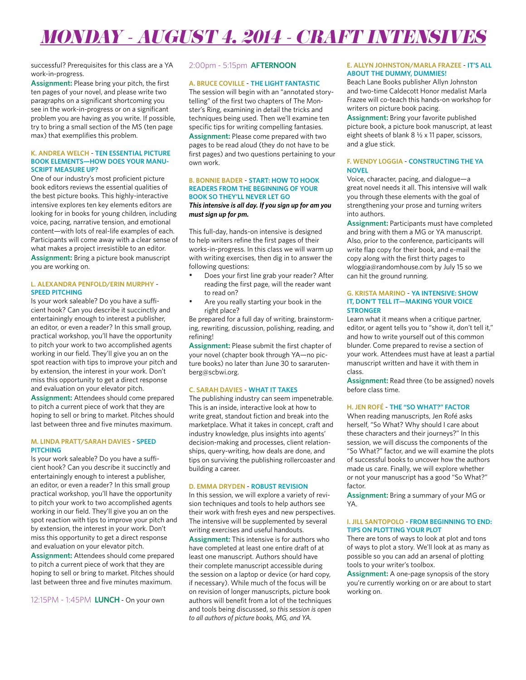## *MONDAY - AUGUST 4, 2014 - CRAFT INTENSIVES*

successful? Prerequisites for this class are a YA work-in-progress.

**Assignment:** Please bring your pitch, the first ten pages of your novel, and please write two paragraphs on a significant shortcoming you see in the work-in-progress or on a significant problem you are having as you write. If possible, try to bring a small section of the MS (ten page max) that exemplifies this problem.

#### **K. ANDREA WELCH** - **TEN ESSENTIAL PICTURE BOOK ELEMENTS—HOW DOES YOUR MANU-SCRIPT MEASURE UP?**

One of our industry's most proficient picture book editors reviews the essential qualities of the best picture books. This highly-interactive intensive explores ten key elements editors are looking for in books for young children, including voice, pacing, narrative tension, and emotional content—with lots of real-life examples of each. Participants will come away with a clear sense of what makes a project irresistible to an editor. **Assignment:** Bring a picture book manuscript you are working on.

#### **L. ALEXANDRA PENFOLD/ERIN MURPHY** - **SPEED PITCHING**

Is your work saleable? Do you have a sufficient hook? Can you describe it succinctly and entertainingly enough to interest a publisher, an editor, or even a reader? In this small group, practical workshop, you'll have the opportunity to pitch your work to two accomplished agents working in our field. They'll give you an on the spot reaction with tips to improve your pitch and by extension, the interest in your work. Don't miss this opportunity to get a direct response and evaluation on your elevator pitch.

**Assignment:** Attendees should come prepared to pitch a current piece of work that they are hoping to sell or bring to market. Pitches should last between three and five minutes maximum.

#### **M. LINDA PRATT/SARAH DAVIES** - **SPEED PITCHING**

Is your work saleable? Do you have a sufficient hook? Can you describe it succinctly and entertainingly enough to interest a publisher, an editor, or even a reader? In this small group practical workshop, you'll have the opportunity to pitch your work to two accomplished agents working in our field. They'll give you an on the spot reaction with tips to improve your pitch and by extension, the interest in your work. Don't miss this opportunity to get a direct response and evaluation on your elevator pitch.

**Assignment:** Attendees should come prepared to pitch a current piece of work that they are hoping to sell or bring to market. Pitches should last between three and five minutes maximum.

12:15PM - 1:45PM **LUNCH** - On your own

#### 2:00pm - 5:15pm **AFTERNOON**

#### **A. BRUCE COVILLE** - **THE LIGHT FANTASTIC**

The session will begin with an "annotated storytelling" of the first two chapters of The Monster's Ring, examining in detail the tricks and techniques being used. Then we'll examine ten specific tips for writing compelling fantasies. **Assignment:** Please come prepared with two pages to be read aloud (they do not have to be first pages) and two questions pertaining to your own work.

#### **B. BONNIE BADER** - **START: HOW TO HOOK READERS FROM THE BEGINNING OF YOUR BOOK SO THEY'LL NEVER LET GO**

#### *This intensive is all day. If you sign up for am you must sign up for pm.*

This full-day, hands-on intensive is designed to help writers refine the first pages of their works-in-progress. In this class we will warm up with writing exercises, then dig in to answer the following questions:

- Does your first line grab your reader? After reading the first page, will the reader want to read on?
- Are you really starting your book in the right place?

Be prepared for a full day of writing, brainstorming, rewriting, discussion, polishing, reading, and refining!

**Assignment:** Please submit the first chapter of your novel (chapter book through YA—no picture books) no later than June 30 to sararutenberg@scbwi.org.

#### **C. SARAH DAVIES** - **WHAT IT TAKES**

The publishing industry can seem impenetrable. This is an inside, interactive look at how to write great, standout fiction and break into the marketplace. What it takes in concept, craft and industry knowledge, plus insights into agents' decision-making and processes, client relationships, query-writing, how deals are done, and tips on surviving the publishing rollercoaster and building a career.

#### **D. EMMA DRYDEN** - **ROBUST REVISION**

In this session, we will explore a variety of revision techniques and tools to help authors see their work with fresh eyes and new perspectives. The intensive will be supplemented by several writing exercises and useful handouts. **Assignment:** This intensive is for authors who have completed at least one entire draft of at least one manuscript. Authors should have their complete manuscript accessible during the session on a laptop or device (or hard copy, if necessary). While much of the focus will be on revision of longer manuscripts, picture book authors will benefit from a lot of the techniques and tools being discussed, *so this session is open to all authors of picture books, MG, and YA.*

#### **E. ALLYN JOHNSTON/MARLA FRAZEE** - **IT'S ALL ABOUT THE DUMMY, DUMMIES!**

Beach Lane Books publisher Allyn Johnston and two-time Caldecott Honor medalist Marla Frazee will co-teach this hands-on workshop for writers on picture book pacing.

**Assignment:** Bring your favorite published picture book, a picture book manuscript, at least eight sheets of blank 8 ½ x 11 paper, scissors, and a glue stick.

#### **F. WENDY LOGGIA** - **CONSTRUCTING THE YA NOVEL**

Voice, character, pacing, and dialogue—a great novel needs it all. This intensive will walk you through these elements with the goal of strengthening your prose and turning writers into authors.

**Assignment:** Participants must have completed and bring with them a MG or YA manuscript. Also, prior to the conference, participants will write flap copy for their book, and e-mail the copy along with the first thirty pages to wloggia@randomhouse.com by July 15 so we can hit the ground running.

#### **G. KRISTA MARINO** - **YA INTENSIVE: SHOW IT, DON'T TELL IT—MAKING YOUR VOICE STRONGER**

Learn what it means when a critique partner, editor, or agent tells you to "show it, don't tell it," and how to write yourself out of this common blunder. Come prepared to revise a section of your work. Attendees must have at least a partial manuscript written and have it with them in class.

**Assignment:** Read three (to be assigned) novels before class time.

### **H. JEN ROFÉ** - **THE "SO WHAT?" FACTOR**

When reading manuscripts, Jen Rofé asks herself, "So What? Why should I care about these characters and their journeys?" In this session, we will discuss the components of the "So What?" factor, and we will examine the plots of successful books to uncover how the authors made us care. Finally, we will explore whether or not your manuscript has a good "So What?" factor.

**Assignment:** Bring a summary of your MG or YA.

#### **I. JILL SANTOPOLO** - **FROM BEGINNING TO END: TIPS ON PLOTTING YOUR PLOT**

There are tons of ways to look at plot and tons of ways to plot a story. We'll look at as many as possible so you can add an arsenal of plotting tools to your writer's toolbox.

**Assignment:** A one-page synopsis of the story you're currently working on or are about to start working on.